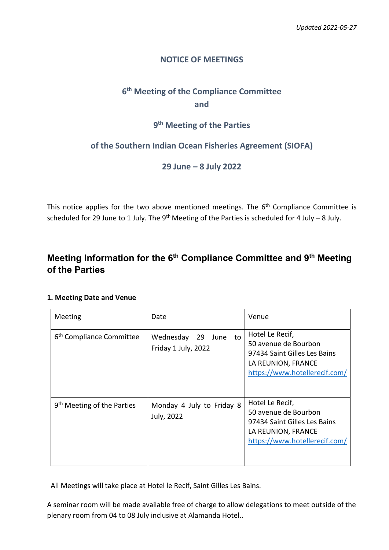# **NOTICE OF MEETINGS**

# **6 th Meeting of the Compliance Committee and**

# **9 th Meeting of the Parties**

# **of the Southern Indian Ocean Fisheries Agreement (SIOFA)**

**29 June – 8 July 2022**

This notice applies for the two above mentioned meetings. The 6<sup>th</sup> Compliance Committee is scheduled for 29 June to 1 July. The 9<sup>th</sup> Meeting of the Parties is scheduled for 4 July - 8 July.

# **Meeting Information for the 6th Compliance Committee and 9th Meeting of the Parties**

# **1. Meeting Date and Venue**

| Meeting                                | Date                                              | Venue                                                                                                                          |
|----------------------------------------|---------------------------------------------------|--------------------------------------------------------------------------------------------------------------------------------|
| 6 <sup>th</sup> Compliance Committee   | to<br>Wednesday<br>29 June<br>Friday 1 July, 2022 | Hotel Le Recif,<br>50 avenue de Bourbon<br>97434 Saint Gilles Les Bains<br>LA REUNION, FRANCE<br>https://www.hotellerecif.com/ |
| 9 <sup>th</sup> Meeting of the Parties | Monday 4 July to Friday 8<br>July, 2022           | Hotel Le Recif,<br>50 avenue de Bourbon<br>97434 Saint Gilles Les Bains<br>LA REUNION, FRANCE<br>https://www.hotellerecif.com/ |

All Meetings will take place at Hotel le Recif, Saint Gilles Les Bains.

A seminar room will be made available free of charge to allow delegations to meet outside of the plenary room from 04 to 08 July inclusive at Alamanda Hotel..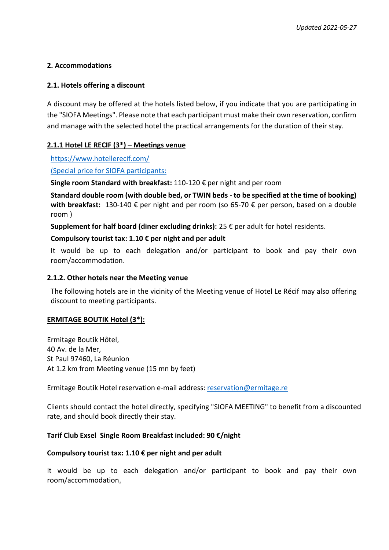# **2. Accommodations**

# **2.1. Hotels offering a discount**

A discount may be offered at the hotels listed below, if you indicate that you are participating in the "SIOFA Meetings". Please note that each participant must make their own reservation, confirm and manage with the selected hotel the practical arrangements for the duration of their stay.

# **2.1.1 Hotel LE RECIF (3\*)** – **Meetings venue**

<https://www.hotellerecif.com/>

(Special price for SIOFA participants:

**Single room Standard with breakfast:** 110-120 € per night and per room

**Standard double room (with double bed, or TWIN beds - to be specified at the time of booking) with breakfast:** 130-140 € per night and per room (so 65-70 € per person, based on a double room )

**Supplement for half board (diner excluding drinks):** 25 € per adult for hotel residents.

#### **Compulsory tourist tax: 1.10 € per night and per adult**

It would be up to each delegation and/or participant to book and pay their own room/accommodation.

#### **2.1.2. Other hotels near the Meeting venue**

The following hotels are in the vicinity of the Meeting venue of Hotel Le Récif may also offering discount to meeting participants.

# **ERMITAGE BOUTIK Hotel (3\*):**

Ermitage Boutik Hôtel, 40 Av. de la Mer, St Paul 97460, La Réunion At 1.2 km from Meeting venue (15 mn by feet)

Ermitage Boutik Hotel reservation e-mail address: [reservation@ermitage.re](mailto:reservation@ermitage.re)

Clients should contact the hotel directly, specifying "SIOFA MEETING" to benefit from a discounted rate, and should book directly their stay.

# **Tarif Club Exsel Single Room Breakfast included: 90 €/night**

#### **Compulsory tourist tax: 1.10 € per night and per adult**

It would be up to each delegation and/or participant to book and pay their own room/accommodation.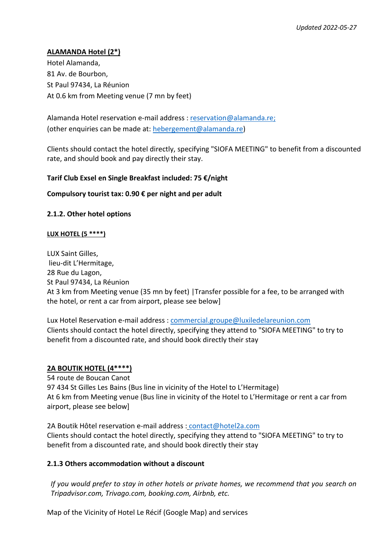# **ALAMANDA Hotel (2\*)**

Hotel Alamanda, 81 Av. de Bourbon, St Paul 97434, La Réunion At 0.6 km from Meeting venue (7 mn by feet)

Alamanda Hotel reservation e-mail address : [reservation@alamanda.re;](mailto:reservation@alamanda.re) (other enquiries can be made at: [hebergement@alamanda.re\)](mailto:hebergement@alamanda.re)

Clients should contact the hotel directly, specifying "SIOFA MEETING" to benefit from a discounted rate, and should book and pay directly their stay.

#### **Tarif Club Exsel en Single Breakfast included: 75 €/night**

#### **Compulsory tourist tax: 0.90 € per night and per adult**

#### **2.1.2. Other hotel options**

#### **LUX HOTEL (5 \*\*\*\*)**

LUX Saint Gilles, lieu-dit L'Hermitage, 28 Rue du Lagon, St Paul 97434, La Réunion At 3 km from Meeting venue (35 mn by feet) |Transfer possible for a fee, to be arranged with the hotel, or rent a car from airport, please see below]

Lux Hotel Reservation e-mail address : [commercial.groupe@luxiledelareunion.com](mailto:commercial.groupe@luxiledelareunion.com) Clients should contact the hotel directly, specifying they attend to "SIOFA MEETING" to try to benefit from a discounted rate, and should book directly their stay

# **2A BOUTIK HOTEL (4\*\*\*\*)**

54 route de Boucan Canot 97 434 St Gilles Les Bains (Bus line in vicinity of the Hotel to L'Hermitage) At 6 km from Meeting venue (Bus line in vicinity of the Hotel to L'Hermitage or rent a car from airport, please see below]

2A Boutik Hôtel reservation e-mail address : [contact@hotel2a.com](mailto:contact@hotel2a.com) Clients should contact the hotel directly, specifying they attend to "SIOFA MEETING" to try to benefit from a discounted rate, and should book directly their stay

# **2.1.3 Others accommodation without a discount**

*If you would prefer to stay in other hotels or private homes, we recommend that you search on Tripadvisor.com, Trivago.com, booking.com, Airbnb, etc.*

Map of the Vicinity of Hotel Le Récif (Google Map) and services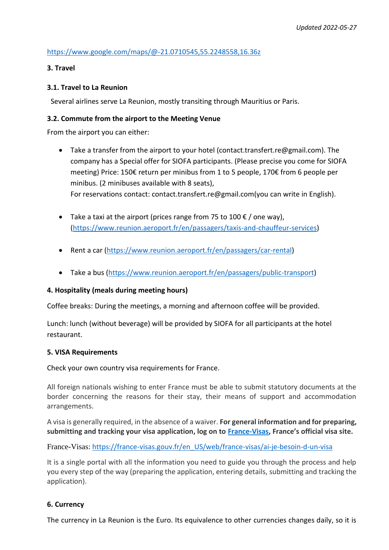# <https://www.google.com/maps/@-21.0710545,55.2248558,16.36z>

# **3. Travel**

### **3.1. Travel to La Reunion**

Several airlines serve La Reunion, mostly transiting through Mauritius or Paris.

#### **3.2. Commute from the airport to the Meeting Venue**

From the airport you can either:

- Take a transfer from the airport to your hotel (contact.transfert.re@gmail.com). The company has a Special offer for SIOFA participants. (Please precise you come for SIOFA meeting) Price: 150€ return per minibus from 1 to 5 people, 170€ from 6 people per minibus. (2 minibuses available with 8 seats), For reservations contact: contact.transfert.re@gmail.com(you can write in English).
- Take a taxi at the airport (prices range from 75 to 100  $\epsilon$  / one way), [\(https://www.reunion.aeroport.fr/en/passagers/taxis-and-chauffeur-services\)](https://www.reunion.aeroport.fr/en/passagers/taxis-and-chauffeur-services)
- Rent a car [\(https://www.reunion.aeroport.fr/en/passagers/car-rental\)](https://www.reunion.aeroport.fr/en/passagers/car-rental)
- Take a bus [\(https://www.reunion.aeroport.fr/en/passagers/public-transport\)](https://www.reunion.aeroport.fr/en/passagers/public-transport)

# **4. Hospitality (meals during meeting hours)**

Coffee breaks: During the meetings, a morning and afternoon coffee will be provided.

Lunch: lunch (without beverage) will be provided by SIOFA for all participants at the hotel restaurant.

#### **5. VISA Requirements**

Check your own country visa requirements for France.

All foreign nationals wishing to enter France must be able to submit statutory documents at the border concerning the reasons for their stay, their means of support and accommodation arrangements.

A visa is generally required, in the absence of a waiver. **For general information and for preparing, submitting and tracking your visa application, log on to [France-Visas](https://france-visas.gouv.fr/en_US/web/france-visas/welcome-page), France's official visa site.**

[France-Visas](https://france-visas.gouv.fr/): [https://france-visas.gouv.fr/en\\_US/web/france-visas/ai-je-besoin-d-un-visa](https://france-visas.gouv.fr/en_US/web/france-visas/ai-je-besoin-d-un-visa)

It is a single portal with all the information you need to guide you through the process and help you every step of the way (preparing the application, entering details, submitting and tracking the application).

# **6. Currency**

The currency in La Reunion is the Euro. Its equivalence to other currencies changes daily, so it is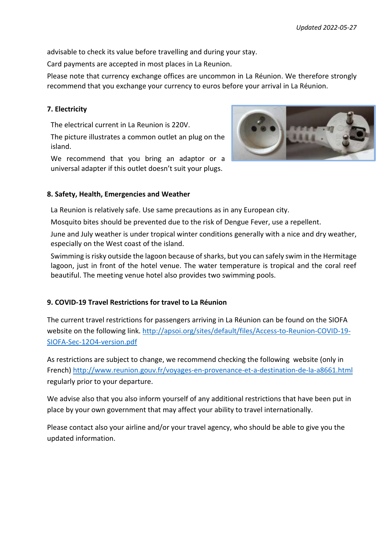advisable to check its value before travelling and during your stay.

Card payments are accepted in most places in La Reunion.

Please note that currency exchange offices are uncommon in La Réunion. We therefore strongly recommend that you exchange your currency to euros before your arrival in La Réunion.

# **7. Electricity**

The electrical current in La Reunion is 220V.

The picture illustrates a common outlet an plug on the island.

We recommend that you bring an adaptor or a universal adapter if this outlet doesn't suit your plugs.

#### **8. Safety, Health, Emergencies and Weather**

La Reunion is relatively safe. Use same precautions as in any European city.

Mosquito bites should be prevented due to the risk of Dengue Fever, use a repellent.

June and July weather is under tropical winter conditions generally with a nice and dry weather, especially on the West coast of the island.

Swimming is risky outside the lagoon because of sharks, but you can safely swim in the Hermitage lagoon, just in front of the hotel venue. The water temperature is tropical and the coral reef beautiful. The meeting venue hotel also provides two swimming pools.

# **9. COVID-19 Travel Restrictions for travel to La Réunion**

The current travel restrictions for passengers arriving in La Réunion can be found on the SIOFA website on the following link. [http://apsoi.org/sites/default/files/Access-to-Reunion-COVID-19-](http://apsoi.org/sites/default/files/Access-to-Reunion-COVID-19-SIOFA-Sec-12O4-version.pdf) [SIOFA-Sec-12O4-version.pdf](http://apsoi.org/sites/default/files/Access-to-Reunion-COVID-19-SIOFA-Sec-12O4-version.pdf)

As restrictions are subject to change, we recommend checking the following website (only in French[\) http://www.reunion.gouv.fr/voyages-en-provenance-et-a-destination-de-la-a8661.html](http://www.reunion.gouv.fr/voyages-en-provenance-et-a-destination-de-la-a8661.html) regularly prior to your departure.

We advise also that you also inform yourself of any additional restrictions that have been put in place by your own government that may affect your ability to travel internationally.

Please contact also your airline and/or your travel agency, who should be able to give you the updated information.